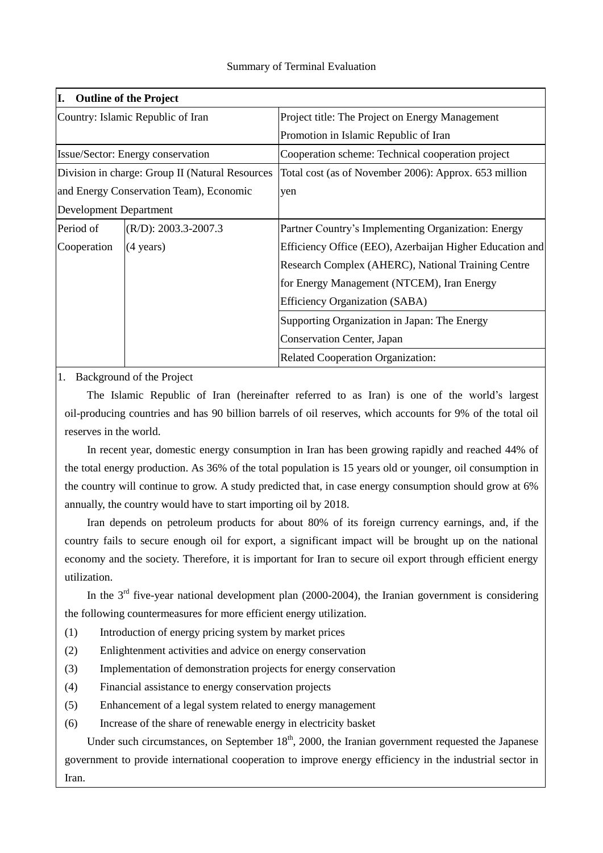## Summary of Terminal Evaluation

| I.<br><b>Outline of the Project</b>             |                          |                                                          |  |  |  |
|-------------------------------------------------|--------------------------|----------------------------------------------------------|--|--|--|
| Country: Islamic Republic of Iran               |                          | Project title: The Project on Energy Management          |  |  |  |
|                                                 |                          | Promotion in Islamic Republic of Iran                    |  |  |  |
| Issue/Sector: Energy conservation               |                          | Cooperation scheme: Technical cooperation project        |  |  |  |
| Division in charge: Group II (Natural Resources |                          | Total cost (as of November 2006): Approx. 653 million    |  |  |  |
| and Energy Conservation Team), Economic         |                          | yen                                                      |  |  |  |
| <b>Development Department</b>                   |                          |                                                          |  |  |  |
| Period of                                       | $(R/D): 2003.3 - 2007.3$ | Partner Country's Implementing Organization: Energy      |  |  |  |
| Cooperation                                     | $(4 \text{ years})$      | Efficiency Office (EEO), Azerbaijan Higher Education and |  |  |  |
|                                                 |                          | Research Complex (AHERC), National Training Centre       |  |  |  |
|                                                 |                          | for Energy Management (NTCEM), Iran Energy               |  |  |  |
|                                                 |                          | Efficiency Organization (SABA)                           |  |  |  |
|                                                 |                          | Supporting Organization in Japan: The Energy             |  |  |  |
|                                                 |                          | <b>Conservation Center, Japan</b>                        |  |  |  |
|                                                 |                          | <b>Related Cooperation Organization:</b>                 |  |  |  |

1. Background of the Project

 The Islamic Republic of Iran (hereinafter referred to as Iran) is one of the world's largest oil-producing countries and has 90 billion barrels of oil reserves, which accounts for 9% of the total oil reserves in the world.

 In recent year, domestic energy consumption in Iran has been growing rapidly and reached 44% of the total energy production. As 36% of the total population is 15 years old or younger, oil consumption in the country will continue to grow. A study predicted that, in case energy consumption should grow at 6% annually, the country would have to start importing oil by 2018.

 Iran depends on petroleum products for about 80% of its foreign currency earnings, and, if the country fails to secure enough oil for export, a significant impact will be brought up on the national economy and the society. Therefore, it is important for Iran to secure oil export through efficient energy utilization.

In the  $3<sup>rd</sup>$  five-year national development plan (2000-2004), the Iranian government is considering the following countermeasures for more efficient energy utilization.

- (1) Introduction of energy pricing system by market prices
- (2) Enlightenment activities and advice on energy conservation
- (3) Implementation of demonstration projects for energy conservation
- (4) Financial assistance to energy conservation projects
- (5) Enhancement of a legal system related to energy management
- (6) Increase of the share of renewable energy in electricity basket

Under such circumstances, on September  $18<sup>th</sup>$ , 2000, the Iranian government requested the Japanese government to provide international cooperation to improve energy efficiency in the industrial sector in Iran.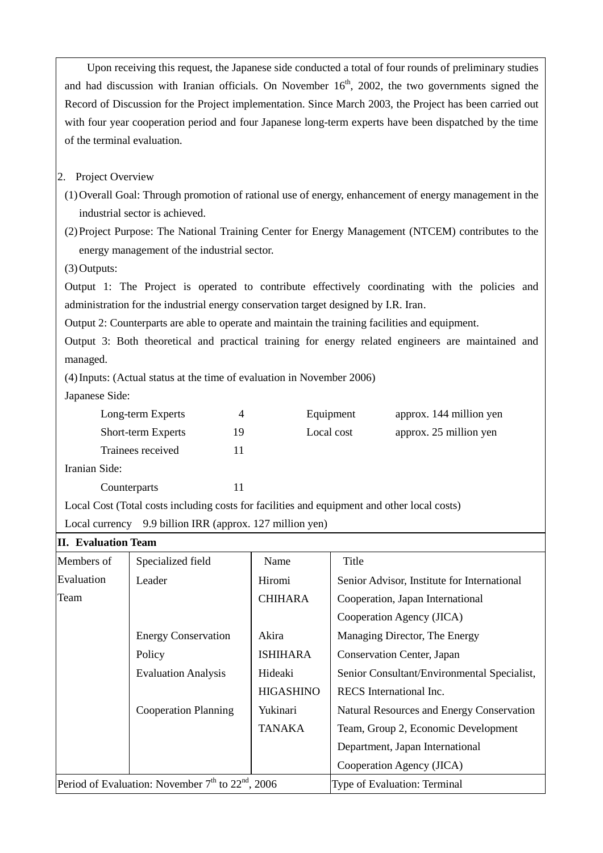Upon receiving this request, the Japanese side conducted a total of four rounds of preliminary studies and had discussion with Iranian officials. On November  $16<sup>th</sup>$ , 2002, the two governments signed the Record of Discussion for the Project implementation. Since March 2003, the Project has been carried out with four year cooperation period and four Japanese long-term experts have been dispatched by the time of the terminal evaluation.

2. Project Overview

(1)Overall Goal: Through promotion of rational use of energy, enhancement of energy management in the industrial sector is achieved.

(2)Project Purpose: The National Training Center for Energy Management (NTCEM) contributes to the energy management of the industrial sector.

(3)Outputs:

Output 1: The Project is operated to contribute effectively coordinating with the policies and administration for the industrial energy conservation target designed by I.R. Iran.

Output 2: Counterparts are able to operate and maintain the training facilities and equipment.

Output 3: Both theoretical and practical training for energy related engineers are maintained and managed.

(4)Inputs: (Actual status at the time of evaluation in November 2006)

Japanese Side:

| Long-term Experts         |    | Equipment  | approx. 144 million yen |
|---------------------------|----|------------|-------------------------|
| <b>Short-term Experts</b> | 19 | Local cost | approx. 25 million yen  |
| Trainees received         |    |            |                         |
| Iranian Side:             |    |            |                         |

Iranian

Counterparts 11

Local Cost (Total costs including costs for facilities and equipment and other local costs)

Local currency 9.9 billion IRR (approx. 127 million yen)

| <b>II.</b> Evaluation Team                                                |                             |                  |                                             |  |  |
|---------------------------------------------------------------------------|-----------------------------|------------------|---------------------------------------------|--|--|
| Members of                                                                | Specialized field           | Name             | Title                                       |  |  |
| Evaluation                                                                | Leader                      | Hiromi           | Senior Advisor, Institute for International |  |  |
| Team                                                                      |                             | <b>CHIHARA</b>   | Cooperation, Japan International            |  |  |
|                                                                           |                             |                  | Cooperation Agency (JICA)                   |  |  |
|                                                                           | <b>Energy Conservation</b>  | Akira            | Managing Director, The Energy               |  |  |
|                                                                           | Policy                      | <b>ISHIHARA</b>  | Conservation Center, Japan                  |  |  |
|                                                                           | <b>Evaluation Analysis</b>  | Hideaki          | Senior Consultant/Environmental Specialist, |  |  |
|                                                                           |                             | <b>HIGASHINO</b> | RECS International Inc.                     |  |  |
|                                                                           | <b>Cooperation Planning</b> | Yukinari         | Natural Resources and Energy Conservation   |  |  |
|                                                                           |                             | TANAKA           | Team, Group 2, Economic Development         |  |  |
|                                                                           |                             |                  | Department, Japan International             |  |  |
|                                                                           |                             |                  | Cooperation Agency (JICA)                   |  |  |
| Period of Evaluation: November 7 <sup>th</sup> to 22 <sup>nd</sup> , 2006 |                             |                  | Type of Evaluation: Terminal                |  |  |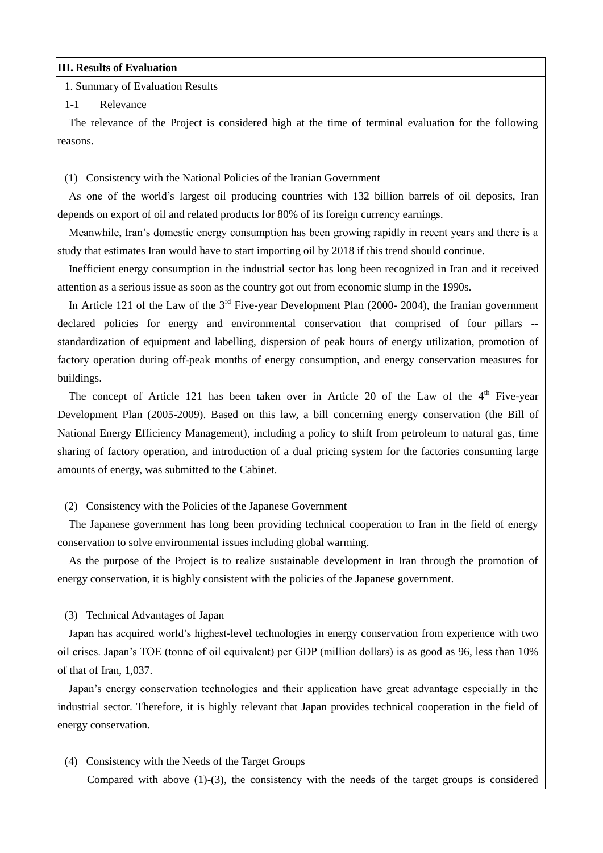#### **III. Results of Evaluation**

1. Summary of Evaluation Results

#### 1-1 Relevance

 The relevance of the Project is considered high at the time of terminal evaluation for the following reasons.

(1) Consistency with the National Policies of the Iranian Government

 As one of the world's largest oil producing countries with 132 billion barrels of oil deposits, Iran depends on export of oil and related products for 80% of its foreign currency earnings.

 Meanwhile, Iran's domestic energy consumption has been growing rapidly in recent years and there is a study that estimates Iran would have to start importing oil by 2018 if this trend should continue.

 Inefficient energy consumption in the industrial sector has long been recognized in Iran and it received attention as a serious issue as soon as the country got out from economic slump in the 1990s.

In Article 121 of the Law of the  $3<sup>rd</sup>$  Five-year Development Plan (2000- 2004), the Iranian government declared policies for energy and environmental conservation that comprised of four pillars - standardization of equipment and labelling, dispersion of peak hours of energy utilization, promotion of factory operation during off-peak months of energy consumption, and energy conservation measures for buildings.

The concept of Article 121 has been taken over in Article 20 of the Law of the  $4<sup>th</sup>$  Five-year Development Plan (2005-2009). Based on this law, a bill concerning energy conservation (the Bill of National Energy Efficiency Management), including a policy to shift from petroleum to natural gas, time sharing of factory operation, and introduction of a dual pricing system for the factories consuming large amounts of energy, was submitted to the Cabinet.

### (2) Consistency with the Policies of the Japanese Government

 The Japanese government has long been providing technical cooperation to Iran in the field of energy conservation to solve environmental issues including global warming.

 As the purpose of the Project is to realize sustainable development in Iran through the promotion of energy conservation, it is highly consistent with the policies of the Japanese government.

### (3) Technical Advantages of Japan

 Japan has acquired world's highest-level technologies in energy conservation from experience with two oil crises. Japan's TOE (tonne of oil equivalent) per GDP (million dollars) is as good as 96, less than 10% of that of Iran, 1,037.

 Japan's energy conservation technologies and their application have great advantage especially in the industrial sector. Therefore, it is highly relevant that Japan provides technical cooperation in the field of energy conservation.

(4) Consistency with the Needs of the Target Groups

Compared with above (1)-(3), the consistency with the needs of the target groups is considered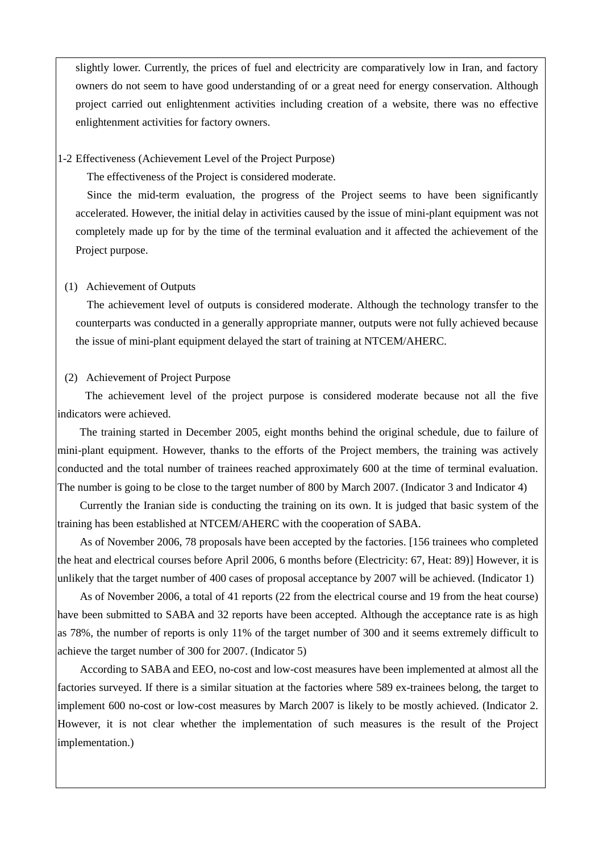slightly lower. Currently, the prices of fuel and electricity are comparatively low in Iran, and factory owners do not seem to have good understanding of or a great need for energy conservation. Although project carried out enlightenment activities including creation of a website, there was no effective enlightenment activities for factory owners.

#### 1-2 Effectiveness (Achievement Level of the Project Purpose)

The effectiveness of the Project is considered moderate.

 Since the mid-term evaluation, the progress of the Project seems to have been significantly accelerated. However, the initial delay in activities caused by the issue of mini-plant equipment was not completely made up for by the time of the terminal evaluation and it affected the achievement of the Project purpose.

#### (1) Achievement of Outputs

 The achievement level of outputs is considered moderate. Although the technology transfer to the counterparts was conducted in a generally appropriate manner, outputs were not fully achieved because the issue of mini-plant equipment delayed the start of training at NTCEM/AHERC.

#### (2) Achievement of Project Purpose

 The achievement level of the project purpose is considered moderate because not all the five indicators were achieved.

 The training started in December 2005, eight months behind the original schedule, due to failure of mini-plant equipment. However, thanks to the efforts of the Project members, the training was actively conducted and the total number of trainees reached approximately 600 at the time of terminal evaluation. The number is going to be close to the target number of 800 by March 2007. (Indicator 3 and Indicator 4)

 Currently the Iranian side is conducting the training on its own. It is judged that basic system of the training has been established at NTCEM/AHERC with the cooperation of SABA.

 As of November 2006, 78 proposals have been accepted by the factories. [156 trainees who completed the heat and electrical courses before April 2006, 6 months before (Electricity: 67, Heat: 89)] However, it is unlikely that the target number of 400 cases of proposal acceptance by 2007 will be achieved. (Indicator 1)

 As of November 2006, a total of 41 reports (22 from the electrical course and 19 from the heat course) have been submitted to SABA and 32 reports have been accepted. Although the acceptance rate is as high as 78%, the number of reports is only 11% of the target number of 300 and it seems extremely difficult to achieve the target number of 300 for 2007. (Indicator 5)

 According to SABA and EEO, no-cost and low-cost measures have been implemented at almost all the factories surveyed. If there is a similar situation at the factories where 589 ex-trainees belong, the target to implement 600 no-cost or low-cost measures by March 2007 is likely to be mostly achieved. (Indicator 2. However, it is not clear whether the implementation of such measures is the result of the Project implementation.)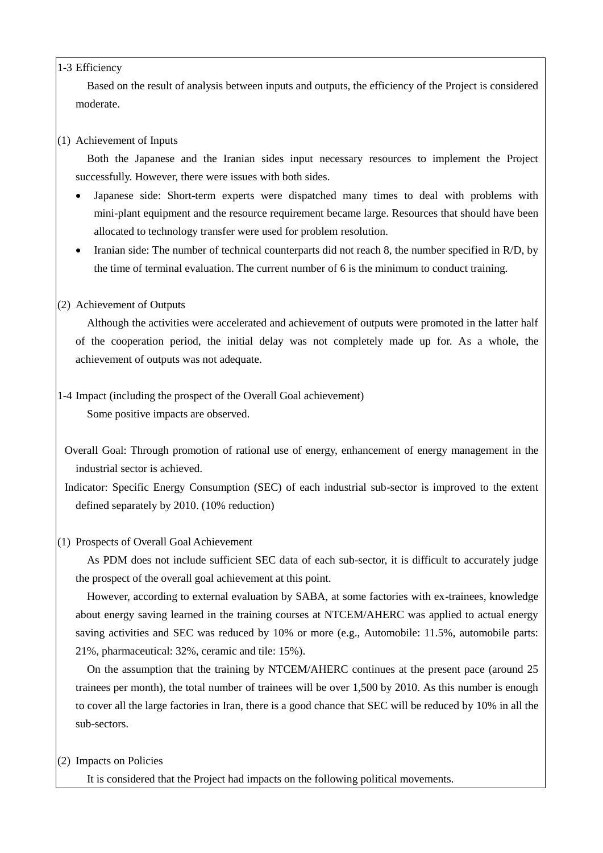### 1-3 Efficiency

 Based on the result of analysis between inputs and outputs, the efficiency of the Project is considered moderate.

## (1) Achievement of Inputs

 Both the Japanese and the Iranian sides input necessary resources to implement the Project successfully. However, there were issues with both sides.

- Japanese side: Short-term experts were dispatched many times to deal with problems with mini-plant equipment and the resource requirement became large. Resources that should have been allocated to technology transfer were used for problem resolution.
- Iranian side: The number of technical counterparts did not reach 8, the number specified in R/D, by the time of terminal evaluation. The current number of 6 is the minimum to conduct training.

## (2) Achievement of Outputs

 Although the activities were accelerated and achievement of outputs were promoted in the latter half of the cooperation period, the initial delay was not completely made up for. As a whole, the achievement of outputs was not adequate.

1-4 Impact (including the prospect of the Overall Goal achievement)

Some positive impacts are observed.

- Overall Goal: Through promotion of rational use of energy, enhancement of energy management in the industrial sector is achieved.
- Indicator: Specific Energy Consumption (SEC) of each industrial sub-sector is improved to the extent defined separately by 2010. (10% reduction)

## (1) Prospects of Overall Goal Achievement

 As PDM does not include sufficient SEC data of each sub-sector, it is difficult to accurately judge the prospect of the overall goal achievement at this point.

 However, according to external evaluation by SABA, at some factories with ex-trainees, knowledge about energy saving learned in the training courses at NTCEM/AHERC was applied to actual energy saving activities and SEC was reduced by 10% or more (e.g., Automobile: 11.5%, automobile parts: 21%, pharmaceutical: 32%, ceramic and tile: 15%).

 On the assumption that the training by NTCEM/AHERC continues at the present pace (around 25 trainees per month), the total number of trainees will be over 1,500 by 2010. As this number is enough to cover all the large factories in Iran, there is a good chance that SEC will be reduced by 10% in all the sub-sectors.

# (2) Impacts on Policies

It is considered that the Project had impacts on the following political movements.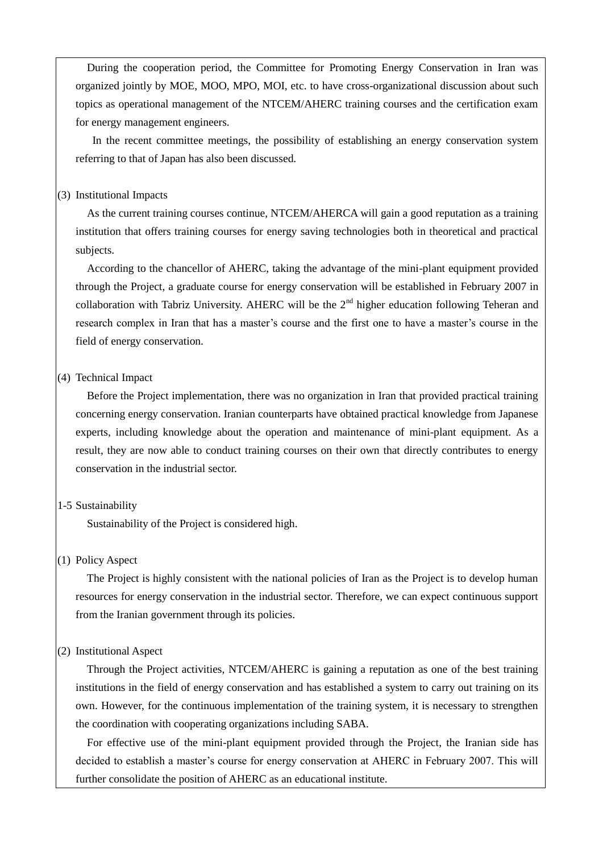During the cooperation period, the Committee for Promoting Energy Conservation in Iran was organized jointly by MOE, MOO, MPO, MOI, etc. to have cross-organizational discussion about such topics as operational management of the NTCEM/AHERC training courses and the certification exam for energy management engineers.

In the recent committee meetings, the possibility of establishing an energy conservation system referring to that of Japan has also been discussed.

#### (3) Institutional Impacts

 As the current training courses continue, NTCEM/AHERCA will gain a good reputation as a training institution that offers training courses for energy saving technologies both in theoretical and practical subjects.

 According to the chancellor of AHERC, taking the advantage of the mini-plant equipment provided through the Project, a graduate course for energy conservation will be established in February 2007 in collaboration with Tabriz University. AHERC will be the  $2<sup>nd</sup>$  higher education following Teheran and research complex in Iran that has a master's course and the first one to have a master's course in the field of energy conservation.

#### (4) Technical Impact

 Before the Project implementation, there was no organization in Iran that provided practical training concerning energy conservation. Iranian counterparts have obtained practical knowledge from Japanese experts, including knowledge about the operation and maintenance of mini-plant equipment. As a result, they are now able to conduct training courses on their own that directly contributes to energy conservation in the industrial sector.

### 1-5 Sustainability

Sustainability of the Project is considered high.

### (1) Policy Aspect

 The Project is highly consistent with the national policies of Iran as the Project is to develop human resources for energy conservation in the industrial sector. Therefore, we can expect continuous support from the Iranian government through its policies.

#### (2) Institutional Aspect

 Through the Project activities, NTCEM/AHERC is gaining a reputation as one of the best training institutions in the field of energy conservation and has established a system to carry out training on its own. However, for the continuous implementation of the training system, it is necessary to strengthen the coordination with cooperating organizations including SABA.

 For effective use of the mini-plant equipment provided through the Project, the Iranian side has decided to establish a master's course for energy conservation at AHERC in February 2007. This will further consolidate the position of AHERC as an educational institute.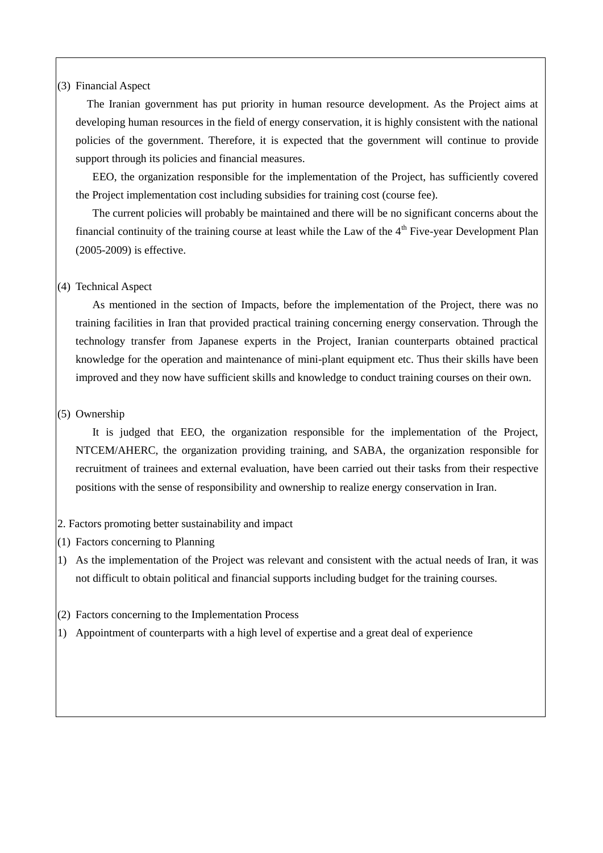### (3) Financial Aspect

 The Iranian government has put priority in human resource development. As the Project aims at developing human resources in the field of energy conservation, it is highly consistent with the national policies of the government. Therefore, it is expected that the government will continue to provide support through its policies and financial measures.

EEO, the organization responsible for the implementation of the Project, has sufficiently covered the Project implementation cost including subsidies for training cost (course fee).

 The current policies will probably be maintained and there will be no significant concerns about the financial continuity of the training course at least while the Law of the  $4<sup>th</sup>$  Five-year Development Plan (2005-2009) is effective.

#### (4) Technical Aspect

As mentioned in the section of Impacts, before the implementation of the Project, there was no training facilities in Iran that provided practical training concerning energy conservation. Through the technology transfer from Japanese experts in the Project, Iranian counterparts obtained practical knowledge for the operation and maintenance of mini-plant equipment etc. Thus their skills have been improved and they now have sufficient skills and knowledge to conduct training courses on their own.

#### (5) Ownership

It is judged that EEO, the organization responsible for the implementation of the Project, NTCEM/AHERC, the organization providing training, and SABA, the organization responsible for recruitment of trainees and external evaluation, have been carried out their tasks from their respective positions with the sense of responsibility and ownership to realize energy conservation in Iran.

### 2. Factors promoting better sustainability and impact

- (1) Factors concerning to Planning
- 1) As the implementation of the Project was relevant and consistent with the actual needs of Iran, it was not difficult to obtain political and financial supports including budget for the training courses.
- (2) Factors concerning to the Implementation Process
- 1) Appointment of counterparts with a high level of expertise and a great deal of experience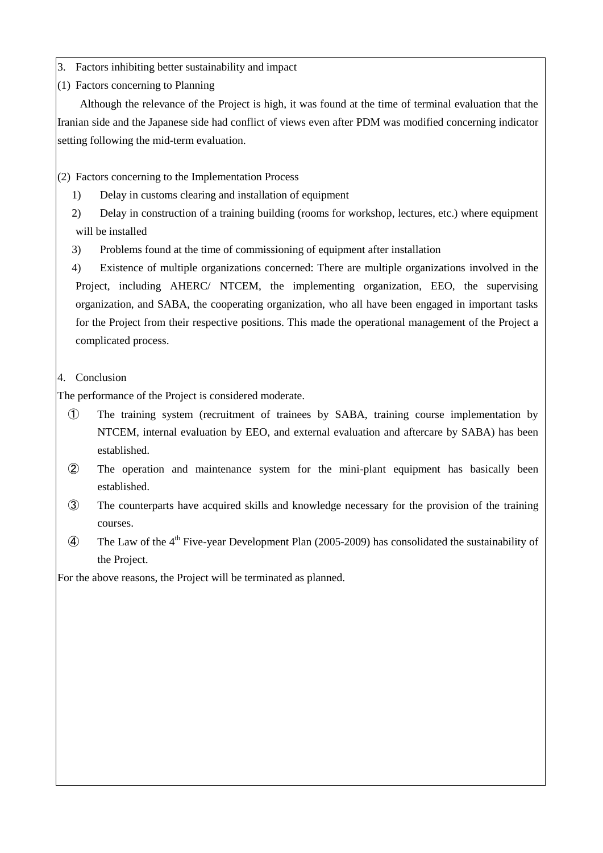- 3. Factors inhibiting better sustainability and impact
- (1) Factors concerning to Planning

 Although the relevance of the Project is high, it was found at the time of terminal evaluation that the Iranian side and the Japanese side had conflict of views even after PDM was modified concerning indicator setting following the mid-term evaluation.

(2) Factors concerning to the Implementation Process

- 1) Delay in customs clearing and installation of equipment
- 2) Delay in construction of a training building (rooms for workshop, lectures, etc.) where equipment will be installed
- 3) Problems found at the time of commissioning of equipment after installation
- 4) Existence of multiple organizations concerned: There are multiple organizations involved in the Project, including AHERC/ NTCEM, the implementing organization, EEO, the supervising organization, and SABA, the cooperating organization, who all have been engaged in important tasks for the Project from their respective positions. This made the operational management of the Project a complicated process.
- 4. Conclusion

The performance of the Project is considered moderate.

- ① The training system (recruitment of trainees by SABA, training course implementation by NTCEM, internal evaluation by EEO, and external evaluation and aftercare by SABA) has been established.
- ② The operation and maintenance system for the mini-plant equipment has basically been established.
- ③ The counterparts have acquired skills and knowledge necessary for the provision of the training courses.
- $\widehat{A}$  The Law of the 4<sup>th</sup> Five-year Development Plan (2005-2009) has consolidated the sustainability of the Project.

For the above reasons, the Project will be terminated as planned.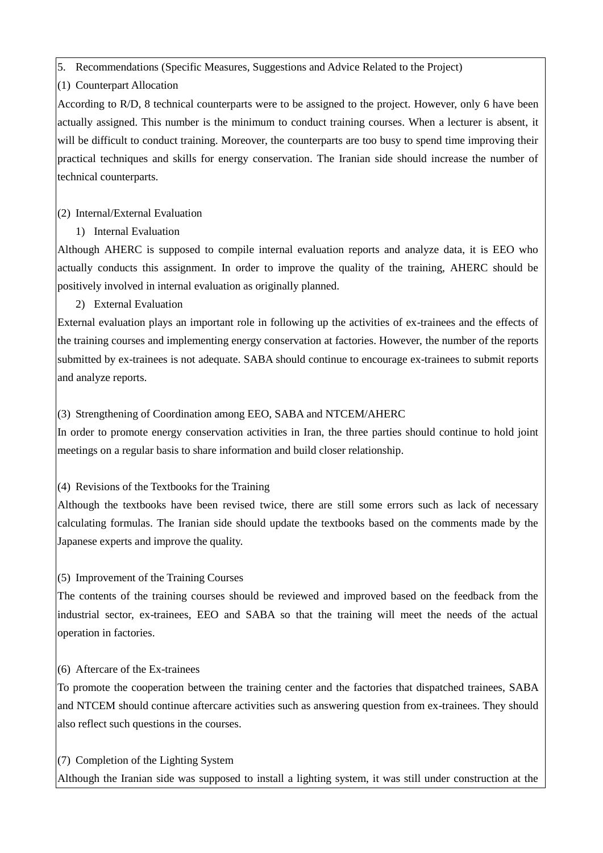5. Recommendations (Specific Measures, Suggestions and Advice Related to the Project)

(1) Counterpart Allocation

According to R/D, 8 technical counterparts were to be assigned to the project. However, only 6 have been actually assigned. This number is the minimum to conduct training courses. When a lecturer is absent, it will be difficult to conduct training. Moreover, the counterparts are too busy to spend time improving their practical techniques and skills for energy conservation. The Iranian side should increase the number of technical counterparts.

# (2) Internal/External Evaluation

1) Internal Evaluation

Although AHERC is supposed to compile internal evaluation reports and analyze data, it is EEO who actually conducts this assignment. In order to improve the quality of the training, AHERC should be positively involved in internal evaluation as originally planned.

# 2) External Evaluation

External evaluation plays an important role in following up the activities of ex-trainees and the effects of the training courses and implementing energy conservation at factories. However, the number of the reports submitted by ex-trainees is not adequate. SABA should continue to encourage ex-trainees to submit reports and analyze reports.

## (3) Strengthening of Coordination among EEO, SABA and NTCEM/AHERC

In order to promote energy conservation activities in Iran, the three parties should continue to hold joint meetings on a regular basis to share information and build closer relationship.

## (4) Revisions of the Textbooks for the Training

Although the textbooks have been revised twice, there are still some errors such as lack of necessary calculating formulas. The Iranian side should update the textbooks based on the comments made by the Japanese experts and improve the quality.

# (5) Improvement of the Training Courses

The contents of the training courses should be reviewed and improved based on the feedback from the industrial sector, ex-trainees, EEO and SABA so that the training will meet the needs of the actual operation in factories.

# (6) Aftercare of the Ex-trainees

To promote the cooperation between the training center and the factories that dispatched trainees, SABA and NTCEM should continue aftercare activities such as answering question from ex-trainees. They should also reflect such questions in the courses.

# (7) Completion of the Lighting System

Although the Iranian side was supposed to install a lighting system, it was still under construction at the